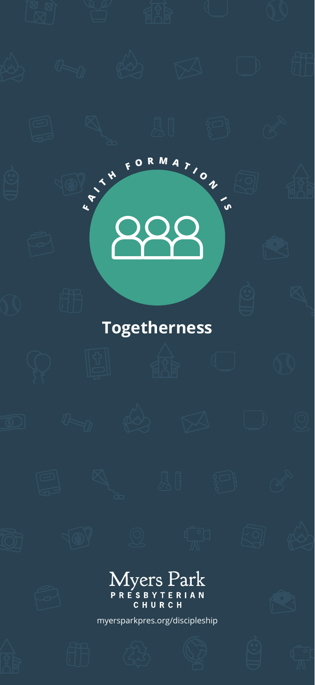